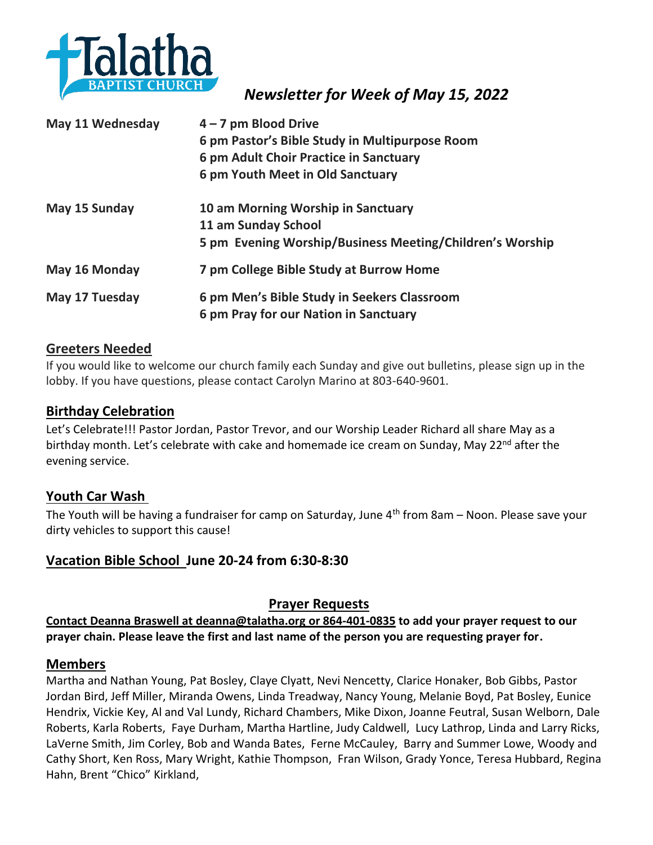

 *Newsletter for Week of May 15, 2022*

| May 11 Wednesday | $4 - 7$ pm Blood Drive                                   |
|------------------|----------------------------------------------------------|
|                  | 6 pm Pastor's Bible Study in Multipurpose Room           |
|                  | 6 pm Adult Choir Practice in Sanctuary                   |
|                  | 6 pm Youth Meet in Old Sanctuary                         |
| May 15 Sunday    | 10 am Morning Worship in Sanctuary                       |
|                  | 11 am Sunday School                                      |
|                  | 5 pm Evening Worship/Business Meeting/Children's Worship |
| May 16 Monday    | 7 pm College Bible Study at Burrow Home                  |
| May 17 Tuesday   | 6 pm Men's Bible Study in Seekers Classroom              |
|                  | 6 pm Pray for our Nation in Sanctuary                    |

### **Greeters Needed**

If you would like to welcome our church family each Sunday and give out bulletins, please sign up in the lobby. If you have questions, please contact Carolyn Marino at 803-640-9601.

### **Birthday Celebration**

Let's Celebrate!!! Pastor Jordan, Pastor Trevor, and our Worship Leader Richard all share May as a birthday month. Let's celebrate with cake and homemade ice cream on Sunday, May 22<sup>nd</sup> after the evening service.

## **Youth Car Wash**

The Youth will be having a fundraiser for camp on Saturday, June  $4<sup>th</sup>$  from 8am – Noon. Please save your dirty vehicles to support this cause!

## **Vacation Bible School June 20-24 from 6:30-8:30**

## **Prayer Requests**

**Contact Deanna Braswell at [deanna@talatha.org o](mailto:deanna@talatha.org)r 864-401-0835 to add your prayer request to our prayer chain. Please leave the first and last name of the person you are requesting prayer for.**

#### **Members**

Martha and Nathan Young, Pat Bosley, Claye Clyatt, Nevi Nencetty, Clarice Honaker, Bob Gibbs, Pastor Jordan Bird, Jeff Miller, Miranda Owens, Linda Treadway, Nancy Young, Melanie Boyd, Pat Bosley, Eunice Hendrix, Vickie Key, Al and Val Lundy, Richard Chambers, Mike Dixon, Joanne Feutral, Susan Welborn, Dale Roberts, Karla Roberts, Faye Durham, Martha Hartline, Judy Caldwell, Lucy Lathrop, Linda and Larry Ricks, LaVerne Smith, Jim Corley, Bob and Wanda Bates, Ferne McCauley, Barry and Summer Lowe, Woody and Cathy Short, Ken Ross, Mary Wright, Kathie Thompson, Fran Wilson, Grady Yonce, Teresa Hubbard, Regina Hahn, Brent "Chico" Kirkland,